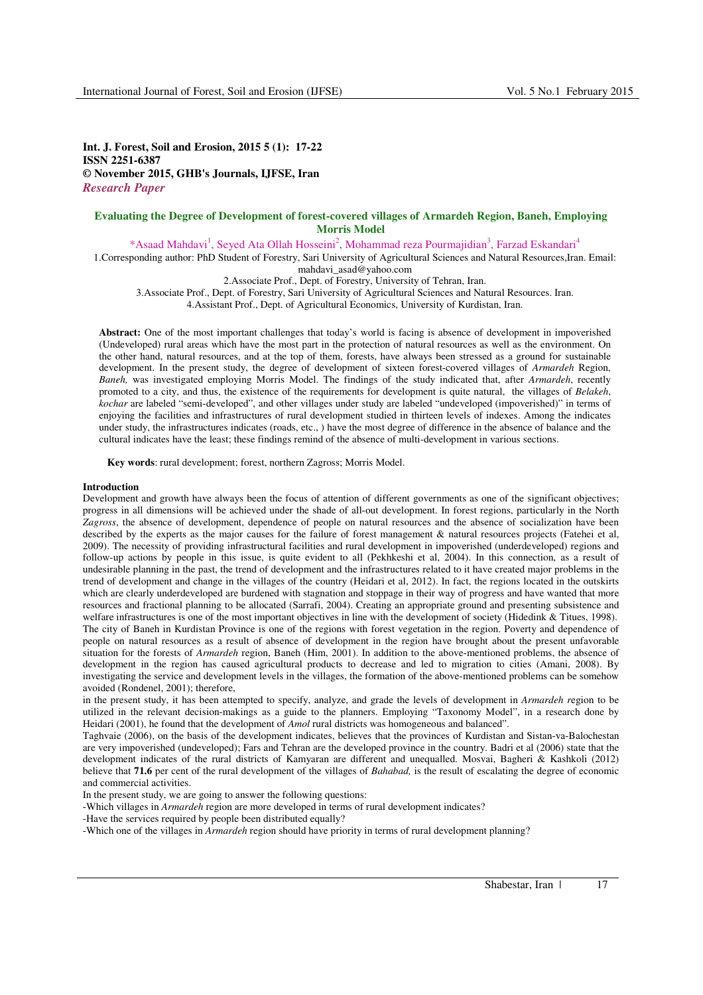**Int. J. Forest, Soil and Erosion, 2015 5 (1): 17-22 ISSN 2251-6387 © November 2015, GHB's Journals, IJFSE, Iran**  *Research Paper* 

# **Evaluating the Degree of Development of forest-covered villages of Armardeh Region, Baneh, Employing Morris Model**

\*Asaad Mahdavi<sup>1</sup>, Seyed Ata Ollah Hosseini<sup>2</sup>, Mohammad reza Pourmajidian<sup>3</sup>, Farzad Eskandari<sup>4</sup>

1.Corresponding author: PhD Student of Forestry, Sari University of Agricultural Sciences and Natural Resources,Iran. Email: mahdavi\_asad@yahoo.com

2.Associate Prof., Dept. of Forestry, University of Tehran, Iran.

3.Associate Prof., Dept. of Forestry, Sari University of Agricultural Sciences and Natural Resources. Iran.

4.Assistant Prof., Dept. of Agricultural Economics, University of Kurdistan, Iran.

**Abstract:** One of the most important challenges that today's world is facing is absence of development in impoverished (Undeveloped) rural areas which have the most part in the protection of natural resources as well as the environment. On the other hand, natural resources, and at the top of them, forests, have always been stressed as a ground for sustainable development. In the present study, the degree of development of sixteen forest-covered villages of *Armardeh* Region, *Baneh,* was investigated employing Morris Model. The findings of the study indicated that, after *Armardeh*, recently promoted to a city, and thus, the existence of the requirements for development is quite natural, the villages of *Belakeh*, *kochar* are labeled "semi-developed", and other villages under study are labeled "undeveloped (impoverished)" in terms of enjoying the facilities and infrastructures of rural development studied in thirteen levels of indexes. Among the indicates under study, the infrastructures indicates (roads, etc., ) have the most degree of difference in the absence of balance and the cultural indicates have the least; these findings remind of the absence of multi-development in various sections.

**Key words**: rural development; forest, northern Zagross; Morris Model.

# **Introduction**

Development and growth have always been the focus of attention of different governments as one of the significant objectives; progress in all dimensions will be achieved under the shade of all-out development. In forest regions, particularly in the North *Zagross*, the absence of development, dependence of people on natural resources and the absence of socialization have been described by the experts as the major causes for the failure of forest management & natural resources projects (Fatehei et al, 2009). The necessity of providing infrastructural facilities and rural development in impoverished (underdeveloped) regions and follow-up actions by people in this issue, is quite evident to all (Pekhkeshi et al, 2004). In this connection, as a result of undesirable planning in the past, the trend of development and the infrastructures related to it have created major problems in the trend of development and change in the villages of the country (Heidari et al, 2012). In fact, the regions located in the outskirts which are clearly underdeveloped are burdened with stagnation and stoppage in their way of progress and have wanted that more resources and fractional planning to be allocated (Sarrafi, 2004). Creating an appropriate ground and presenting subsistence and welfare infrastructures is one of the most important objectives in line with the development of society (Hidedink & Titues, 1998). The city of Baneh in Kurdistan Province is one of the regions with forest vegetation in the region. Poverty and dependence of people on natural resources as a result of absence of development in the region have brought about the present unfavorable situation for the forests of *Armardeh* region, Baneh (Him, 2001). In addition to the above-mentioned problems, the absence of development in the region has caused agricultural products to decrease and led to migration to cities (Amani, 2008). By investigating the service and development levels in the villages, the formation of the above-mentioned problems can be somehow avoided (Rondenel, 2001); therefore,

in the present study, it has been attempted to specify, analyze, and grade the levels of development in *Armardeh r*egion to be utilized in the relevant decision-makings as a guide to the planners. Employing "Taxonomy Model", in a research done by Heidari (2001), he found that the development of *Amol* rural districts was homogeneous and balanced".

Taghvaie (2006), on the basis of the development indicates, believes that the provinces of Kurdistan and Sistan-va-Balochestan are very impoverished (undeveloped); Fars and Tehran are the developed province in the country. Badri et al (2006) state that the development indicates of the rural districts of Kamyaran are different and unequalled. Mosvai, Bagheri & Kashkoli (2012) believe that **71.6** per cent of the rural development of the villages of *Bahabad*, is the result of escalating the degree of economic and commercial activities.

In the present study, we are going to answer the following questions:

-Which villages in *Armardeh* region are more developed in terms of rural development indicates?

-Have the services required by people been distributed equally?

-Which one of the villages in *Armardeh* region should have priority in terms of rural development planning?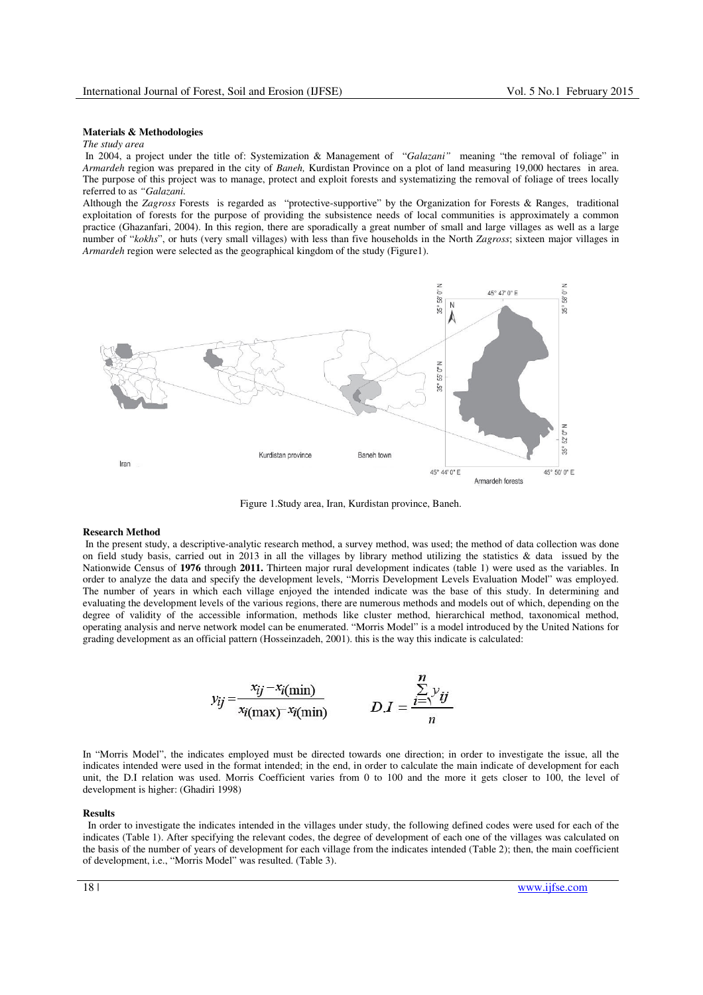# **Materials & Methodologies**

# *The study area*

 In 2004, a project under the title of: Systemization & Management of "*Galazani"* meaning "the removal of foliage" in *Armardeh* region was prepared in the city of *Baneh,* Kurdistan Province on a plot of land measuring 19,000 hectares in area. The purpose of this project was to manage, protect and exploit forests and systematizing the removal of foliage of trees locally referred to as *"Galazani.* 

Although the *Zagross* Forests is regarded as "protective-supportive" by the Organization for Forests & Ranges, traditional exploitation of forests for the purpose of providing the subsistence needs of local communities is approximately a common practice (Ghazanfari, 2004). In this region, there are sporadically a great number of small and large villages as well as a large number of "*kokhs*", or huts (very small villages) with less than five households in the North *Zagross*; sixteen major villages in *Armardeh* region were selected as the geographical kingdom of the study (Figure1).



Figure 1.Study area, Iran, Kurdistan province, Baneh.

#### **Research Method**

 In the present study, a descriptive-analytic research method, a survey method, was used; the method of data collection was done on field study basis, carried out in 2013 in all the villages by library method utilizing the statistics  $\&$  data issued by the Nationwide Census of **1976** through **2011.** Thirteen major rural development indicates (table 1) were used as the variables. In order to analyze the data and specify the development levels, "Morris Development Levels Evaluation Model" was employed. The number of years in which each village enjoyed the intended indicate was the base of this study. In determining and evaluating the development levels of the various regions, there are numerous methods and models out of which, depending on the degree of validity of the accessible information, methods like cluster method, hierarchical method, taxonomical method, operating analysis and nerve network model can be enumerated. "Morris Model" is a model introduced by the United Nations for grading development as an official pattern (Hosseinzadeh, 2001). this is the way this indicate is calculated:

$$
y_{ij} = \frac{x_{ij} - x_{i(\text{min})}}{x_{i(\text{max})} - x_{i(\text{min})}}
$$
 
$$
D.I = \frac{\sum_{i=1}^{n} y_{ij}}{n}
$$

In "Morris Model", the indicates employed must be directed towards one direction; in order to investigate the issue, all the indicates intended were used in the format intended; in the end, in order to calculate the main indicate of development for each unit, the D.I relation was used. Morris Coefficient varies from 0 to 100 and the more it gets closer to 100, the level of development is higher: (Ghadiri 1998)

#### **Results**

In order to investigate the indicates intended in the villages under study, the following defined codes were used for each of the indicates (Table 1). After specifying the relevant codes, the degree of development of each one of the villages was calculated on the basis of the number of years of development for each village from the indicates intended (Table 2); then, the main coefficient of development, i.e., "Morris Model" was resulted. (Table 3).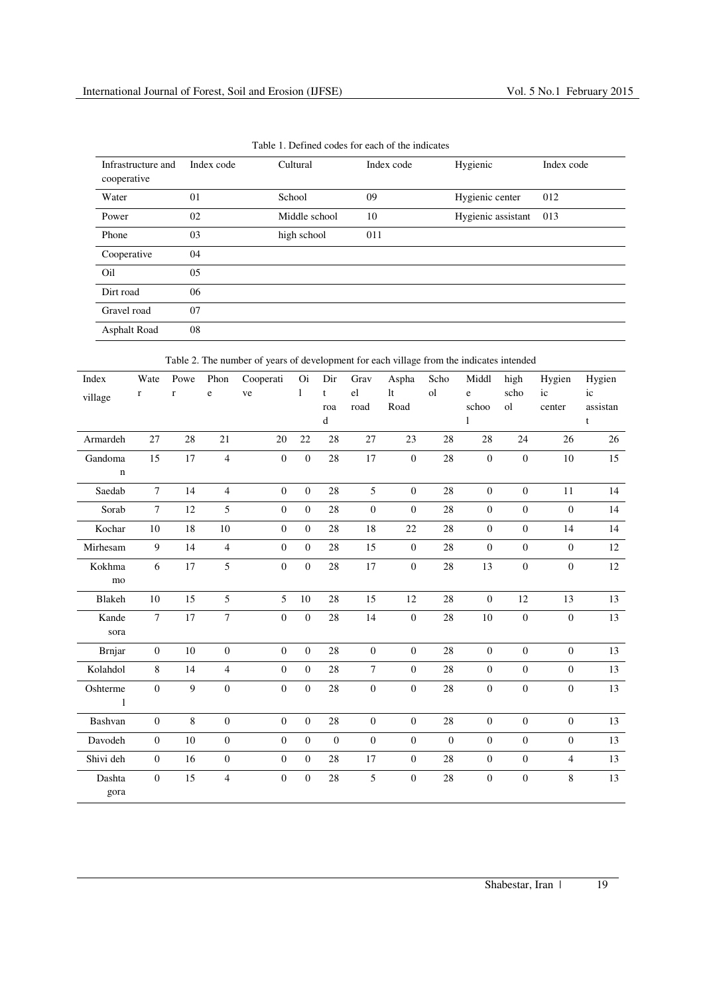| Infrastructure and<br>cooperative | Index code | Cultural      | Index code | Hygienic           | Index code |
|-----------------------------------|------------|---------------|------------|--------------------|------------|
| Water                             | 01         | School        | 09         | Hygienic center    | 012        |
| Power                             | 02         | Middle school | 10         | Hygienic assistant | 013        |
| Phone                             | 03         | high school   | 011        |                    |            |
| Cooperative                       | 04         |               |            |                    |            |
| Oil                               | 05         |               |            |                    |            |
| Dirt road                         | 06         |               |            |                    |            |
| Gravel road                       | 07         |               |            |                    |            |
| Asphalt Road                      | 08         |               |            |                    |            |

Table 1. Defined codes for each of the indicates

Table 2. The number of years of development for each village from the indicates intended

| Index                      | Wate             | Powe<br>$\bf r$ | Phon<br>e        | Cooperati<br>ve  | Oi<br>$\mathbf{1}$ | Dir<br>$\mathbf t$ | Grav<br>el       | Aspha<br>1 <sub>t</sub> | Scho<br><sub>o</sub> l | Middl<br>e       | high<br>scho     | Hygien<br>ic     | Hygien<br>ic |
|----------------------------|------------------|-----------------|------------------|------------------|--------------------|--------------------|------------------|-------------------------|------------------------|------------------|------------------|------------------|--------------|
| village                    | $\bf r$          |                 |                  |                  |                    | roa                | road             | Road                    |                        | schoo            | ol               | center           | assistan     |
|                            |                  |                 |                  |                  |                    | d                  |                  |                         |                        | 1                |                  |                  | t            |
| Armardeh                   | 27               | 28              | 21               | 20               | 22                 | 28                 | 27               | 23                      | 28                     | 28               | 24               | 26               | 26           |
| Gandoma<br>$\mathbf n$     | 15               | 17              | $\overline{4}$   | $\boldsymbol{0}$ | $\mathbf{0}$       | 28                 | 17               | $\boldsymbol{0}$        | 28                     | $\boldsymbol{0}$ | $\boldsymbol{0}$ | 10               | 15           |
| Saedab                     | $\overline{7}$   | 14              | $\overline{4}$   | $\overline{0}$   | $\overline{0}$     | 28                 | 5                | $\overline{0}$          | 28                     | $\mathbf{0}$     | $\overline{0}$   | 11               | 14           |
| Sorab                      | $\tau$           | 12              | 5                | $\boldsymbol{0}$ | $\Omega$           | 28                 | $\overline{0}$   | $\overline{0}$          | 28                     | $\overline{0}$   | $\mathbf{0}$     | $\boldsymbol{0}$ | 14           |
| Kochar                     | 10               | $18\,$          | 10               | $\boldsymbol{0}$ | $\theta$           | 28                 | 18               | 22                      | 28                     | $\mathbf{0}$     | $\boldsymbol{0}$ | 14               | 14           |
| Mirhesam                   | 9                | 14              | $\overline{4}$   | $\boldsymbol{0}$ | $\theta$           | 28                 | 15               | $\overline{0}$          | 28                     | $\mathbf{0}$     | $\overline{0}$   | $\overline{0}$   | 12           |
| Kokhma<br>mo               | 6                | $17\,$          | 5                | $\boldsymbol{0}$ | $\boldsymbol{0}$   | 28                 | 17               | $\boldsymbol{0}$        | $28\,$                 | 13               | $\boldsymbol{0}$ | $\boldsymbol{0}$ | $12\,$       |
| Blakeh                     | 10               | 15              | 5                | 5                | 10                 | 28                 | 15               | 12                      | 28                     | $\mathbf{0}$     | 12               | 13               | 13           |
| Kande<br>sora              | $\overline{7}$   | 17              | $\overline{7}$   | $\boldsymbol{0}$ | $\overline{0}$     | 28                 | 14               | $\overline{0}$          | 28                     | 10               | $\mathbf{0}$     | $\boldsymbol{0}$ | 13           |
| <b>Brnjar</b>              | $\overline{0}$   | 10              | $\overline{0}$   | $\boldsymbol{0}$ | $\overline{0}$     | 28                 | $\overline{0}$   | $\overline{0}$          | 28                     | $\mathbf{0}$     | $\overline{0}$   | $\theta$         | 13           |
| Kolahdol                   | $8\,$            | 14              | $\overline{4}$   | $\boldsymbol{0}$ | $\overline{0}$     | 28                 | $\tau$           | $\boldsymbol{0}$        | $28\,$                 | $\mathbf{0}$     | $\overline{0}$   | $\boldsymbol{0}$ | 13           |
| Oshterme<br>$\overline{1}$ | $\Omega$         | 9               | $\mathbf{0}$     | $\boldsymbol{0}$ | $\mathbf{0}$       | 28                 | $\boldsymbol{0}$ | $\overline{0}$          | 28                     | $\overline{0}$   | $\overline{0}$   | $\boldsymbol{0}$ | 13           |
| Bashvan                    | $\boldsymbol{0}$ | 8               | $\overline{0}$   | $\overline{0}$   | $\overline{0}$     | 28                 | $\overline{0}$   | $\overline{0}$          | 28                     | $\mathbf{0}$     | $\overline{0}$   | $\mathbf{0}$     | 13           |
| Davodeh                    | $\boldsymbol{0}$ | 10              | $\boldsymbol{0}$ | $\boldsymbol{0}$ | $\overline{0}$     | $\overline{0}$     | $\mathbf{0}$     | $\overline{0}$          | $\boldsymbol{0}$       | $\overline{0}$   | $\mathbf{0}$     | $\mathbf{0}$     | 13           |
| Shivi deh                  | $\overline{0}$   | 16              | $\boldsymbol{0}$ | $\mathbf{0}$     | $\overline{0}$     | 28                 | 17               | $\mathbf{0}$            | 28                     | $\mathbf{0}$     | $\overline{0}$   | $\overline{4}$   | 13           |
| Dashta<br>gora             | $\Omega$         | 15              | $\overline{4}$   | $\overline{0}$   | $\overline{0}$     | 28                 | 5                | $\overline{0}$          | 28                     | $\overline{0}$   | $\boldsymbol{0}$ | $8\,$            | 13           |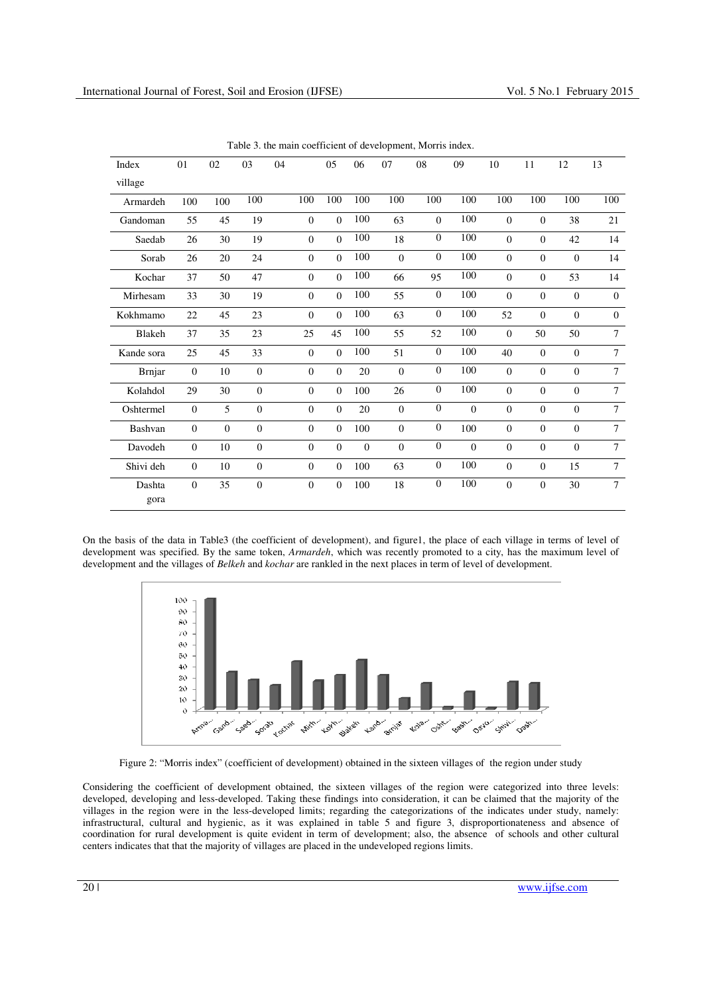| Index          | 01             | 02       | 03             | 04 |              | 05       | 06             | 07             | 08             | 09       | 10             | 11       | 12             | 13       |
|----------------|----------------|----------|----------------|----|--------------|----------|----------------|----------------|----------------|----------|----------------|----------|----------------|----------|
|                |                |          |                |    |              |          |                |                |                |          |                |          |                |          |
| village        |                |          |                |    |              |          |                |                |                |          |                |          |                |          |
| Armardeh       | 100            | 100      | 100            |    | 100          | 100      | 100            | 100            | 100            | 100      | 100            | 100      | 100            | 100      |
| Gandoman       | 55             | 45       | 19             |    | $\Omega$     | $\Omega$ | 100            | 63             | $\Omega$       | 100      | $\Omega$       | $\Omega$ | 38             | 21       |
| Saedab         | 26             | 30       | 19             |    | $\Omega$     | $\Omega$ | 100            | 18             | $\theta$       | 100      | $\Omega$       | $\Omega$ | 42             | 14       |
| Sorab          | 26             | 20       | 24             |    | $\Omega$     | $\Omega$ | 100            | $\Omega$       | $\mathbf{0}$   | 100      | $\Omega$       | $\Omega$ | $\Omega$       | 14       |
| Kochar         | 37             | 50       | 47             |    | $\Omega$     | $\Omega$ | 100            | 66             | 95             | 100      | $\Omega$       | $\Omega$ | 53             | 14       |
| Mirhesam       | 33             | 30       | 19             |    | $\Omega$     | $\Omega$ | 100            | 55             | $\overline{0}$ | 100      | $\Omega$       | $\Omega$ | $\Omega$       | $\Omega$ |
| Kokhmamo       | 22             | 45       | 23             |    | $\Omega$     | $\Omega$ | 100            | 63             | $\overline{0}$ | 100      | 52             | $\Omega$ | $\overline{0}$ | $\Omega$ |
| Blakeh         | 37             | 35       | 23             |    | 25           | 45       | 100            | 55             | 52             | 100      | $\Omega$       | 50       | 50             | $\tau$   |
| Kande sora     | 25             | 45       | 33             |    | $\Omega$     | $\Omega$ | 100            | 51             | $\theta$       | 100      | 40             | $\Omega$ | $\overline{0}$ | $\tau$   |
| <b>Brnjar</b>  | $\theta$       | 10       | $\mathbf{0}$   |    | $\Omega$     | $\theta$ | 20             | $\overline{0}$ | $\theta$       | 100      | $\Omega$       | $\Omega$ | $\Omega$       | $\tau$   |
| Kolahdol       | 29             | 30       | $\mathbf{0}$   |    | $\Omega$     | $\Omega$ | 100            | 26             | $\mathbf{0}$   | 100      | $\Omega$       | $\Omega$ | $\Omega$       | $\tau$   |
| Oshtermel      | $\mathbf{0}$   | 5        | $\Omega$       |    | $\Omega$     | $\theta$ | 20             | $\overline{0}$ | $\mathbf{0}$   | $\Omega$ | $\Omega$       | $\Omega$ | $\Omega$       | $\tau$   |
| Bashvan        | $\overline{0}$ | $\Omega$ | $\Omega$       |    | $\Omega$     | $\Omega$ | 100            | $\overline{0}$ | $\mathbf{0}$   | 100      | $\Omega$       | $\Omega$ | $\Omega$       | $\tau$   |
| Davodeh        | $\overline{0}$ | 10       | $\mathbf{0}$   |    | $\mathbf{0}$ | $\Omega$ | $\overline{0}$ | $\overline{0}$ | $\mathbf{0}$   | $\Omega$ | $\overline{0}$ | $\Omega$ | $\overline{0}$ | $\tau$   |
| Shivi deh      | $\overline{0}$ | 10       | $\overline{0}$ |    | $\mathbf{0}$ | $\Omega$ | 100            | 63             | $\theta$       | 100      | $\Omega$       | $\Omega$ | 15             | $\tau$   |
| Dashta<br>gora | $\mathbf{0}$   | 35       | $\theta$       |    | $\Omega$     | $\Omega$ | 100            | 18             | $\overline{0}$ | 100      | $\mathbf{0}$   | $\Omega$ | 30             | $\tau$   |

Table 3. the main coefficient of development, Morris index.

On the basis of the data in Table3 (the coefficient of development), and figure1, the place of each village in terms of level of development was specified. By the same token, *Armardeh*, which was recently promoted to a city, has the maximum level of development and the villages of *Belkeh* and *kochar* are rankled in the next places in term of level of development.



Figure 2: "Morris index" (coefficient of development) obtained in the sixteen villages of the region under study

Considering the coefficient of development obtained, the sixteen villages of the region were categorized into three levels: developed, developing and less-developed. Taking these findings into consideration, it can be claimed that the majority of the villages in the region were in the less-developed limits; regarding the categorizations of the indicates under study, namely: infrastructural, cultural and hygienic, as it was explained in table 5 and figure 3, disproportionateness and absence of coordination for rural development is quite evident in term of development; also, the absence of schools and other cultural centers indicates that that the majority of villages are placed in the undeveloped regions limits.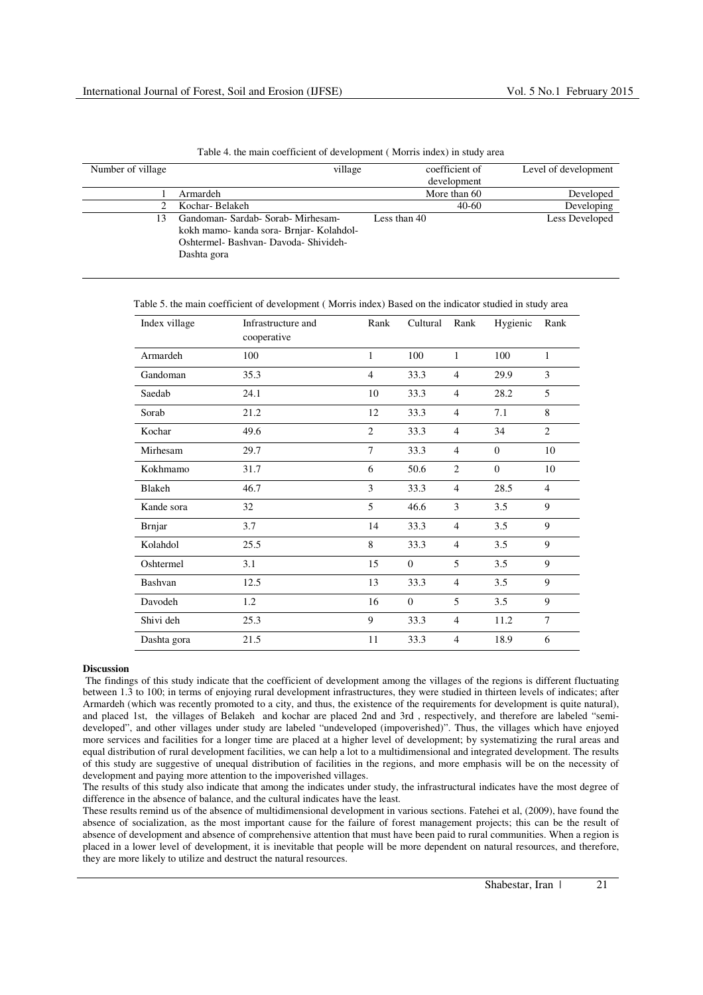| Number of village | village                                                                                                                                | coefficient of<br>development | Level of development |
|-------------------|----------------------------------------------------------------------------------------------------------------------------------------|-------------------------------|----------------------|
|                   | Armardeh                                                                                                                               | More than 60                  | Developed            |
|                   | Kochar-Belakeh                                                                                                                         | $40-60$                       | Developing           |
| 13                | Gandoman- Sardab- Sorab- Mirhesam-<br>kokh mamo- kanda sora- Brnjar- Kolahdol-<br>Oshtermel- Bashvan- Davoda- Shivideh-<br>Dashta gora | Less than 40                  | Less Developed       |

Table 4. the main coefficient of development ( Morris index) in study area

Table 5. the main coefficient of development ( Morris index) Based on the indicator studied in study area

| Index village | Infrastructure and<br>cooperative | Rank           | Cultural       | Rank           | Hygienic       | Rank           |
|---------------|-----------------------------------|----------------|----------------|----------------|----------------|----------------|
| Armardeh      | 100                               | 1              | 100            | $\mathbf{1}$   | 100            | $\mathbf{1}$   |
| Gandoman      | 35.3                              | $\overline{4}$ | 33.3           | $\overline{4}$ | 29.9           | 3              |
| Saedab        | 24.1                              | 10             | 33.3           | $\overline{4}$ | 28.2           | 5              |
| Sorab         | 21.2                              | 12             | 33.3           | $\overline{4}$ | 7.1            | 8              |
| Kochar        | 49.6                              | $\overline{c}$ | 33.3           | $\overline{4}$ | 34             | $\overline{2}$ |
| Mirhesam      | 29.7                              | $\overline{7}$ | 33.3           | $\overline{4}$ | $\Omega$       | 10             |
| Kokhmamo      | 31.7                              | 6              | 50.6           | $\overline{2}$ | $\overline{0}$ | 10             |
| <b>Blakeh</b> | 46.7                              | 3              | 33.3           | $\overline{4}$ | 28.5           | $\overline{4}$ |
| Kande sora    | 32                                | 5              | 46.6           | 3              | 3.5            | 9              |
| <b>Brnjar</b> | 3.7                               | 14             | 33.3           | $\overline{4}$ | 3.5            | 9              |
| Kolahdol      | 25.5                              | 8              | 33.3           | $\overline{4}$ | 3.5            | 9              |
| Oshtermel     | 3.1                               | 15             | $\mathbf{0}$   | 5              | 3.5            | 9              |
| Bashvan       | 12.5                              | 13             | 33.3           | $\overline{4}$ | 3.5            | 9              |
| Davodeh       | 1.2                               | 16             | $\overline{0}$ | 5              | 3.5            | 9              |
| Shivi deh     | 25.3                              | 9              | 33.3           | $\overline{4}$ | 11.2           | $\overline{7}$ |
| Dashta gora   | 21.5                              | 11             | 33.3           | $\overline{4}$ | 18.9           | 6              |

## **Discussion**

 The findings of this study indicate that the coefficient of development among the villages of the regions is different fluctuating between 1.3 to 100; in terms of enjoying rural development infrastructures, they were studied in thirteen levels of indicates; after Armardeh (which was recently promoted to a city, and thus, the existence of the requirements for development is quite natural), and placed 1st, the villages of Belakeh and kochar are placed 2nd and 3rd , respectively, and therefore are labeled "semideveloped", and other villages under study are labeled "undeveloped (impoverished)". Thus, the villages which have enjoyed more services and facilities for a longer time are placed at a higher level of development; by systematizing the rural areas and equal distribution of rural development facilities, we can help a lot to a multidimensional and integrated development. The results of this study are suggestive of unequal distribution of facilities in the regions, and more emphasis will be on the necessity of development and paying more attention to the impoverished villages.

The results of this study also indicate that among the indicates under study, the infrastructural indicates have the most degree of difference in the absence of balance, and the cultural indicates have the least.

These results remind us of the absence of multidimensional development in various sections. Fatehei et al, (2009), have found the absence of socialization, as the most important cause for the failure of forest management projects; this can be the result of absence of development and absence of comprehensive attention that must have been paid to rural communities. When a region is placed in a lower level of development, it is inevitable that people will be more dependent on natural resources, and therefore, they are more likely to utilize and destruct the natural resources.